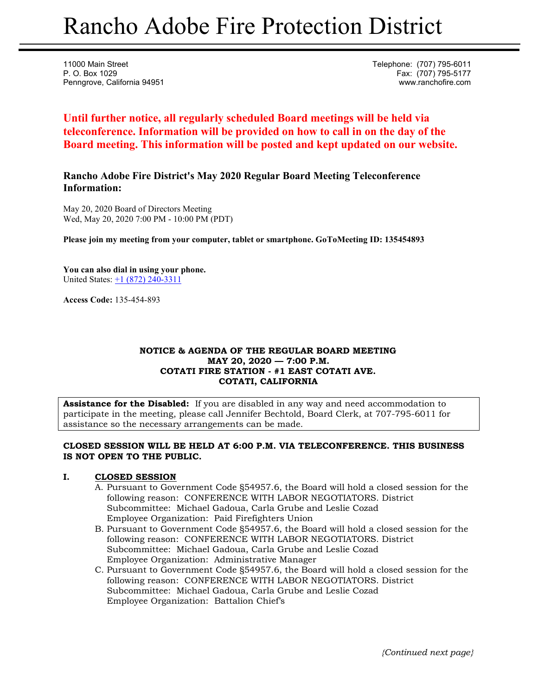# Rancho Adobe Fire Protection District

11000 Main Street **Telephone:** (707) 795-6011 P. O. Box 1029 Fax: (707) 795-5177 Penngrove, California 94951 www.ranchofire.com

**Until further notice, all regularly scheduled Board meetings will be held via teleconference. Information will be provided on how to call in on the day of the Board meeting. This information will be posted and kept updated on our website.**

**Rancho Adobe Fire District's May 2020 Regular Board Meeting Teleconference Information:** 

May 20, 2020 Board of Directors Meeting Wed, May 20, 2020 7:00 PM - 10:00 PM (PDT)

**Please join my meeting from your computer, tablet or smartphone. GoToMeeting ID: 135454893** 

**You can also dial in using your phone.**  United States: +1 (872) 240-3311

**Access Code:** 135-454-893

# **NOTICE & AGENDA OF THE REGULAR BOARD MEETING MAY 20, 2020 — 7:00 P.M. COTATI FIRE STATION - #1 EAST COTATI AVE. COTATI, CALIFORNIA**

**Assistance for the Disabled:** If you are disabled in any way and need accommodation to participate in the meeting, please call Jennifer Bechtold, Board Clerk, at 707-795-6011 for assistance so the necessary arrangements can be made.

# **CLOSED SESSION WILL BE HELD AT 6:00 P.M. VIA TELECONFERENCE. THIS BUSINESS IS NOT OPEN TO THE PUBLIC.**

# **I. CLOSED SESSION**

- A. Pursuant to Government Code §54957.6, the Board will hold a closed session for the following reason: CONFERENCE WITH LABOR NEGOTIATORS. District Subcommittee: Michael Gadoua, Carla Grube and Leslie Cozad Employee Organization: Paid Firefighters Union
- B. Pursuant to Government Code §54957.6, the Board will hold a closed session for the following reason: CONFERENCE WITH LABOR NEGOTIATORS. District Subcommittee: Michael Gadoua, Carla Grube and Leslie Cozad Employee Organization: Administrative Manager
- C. Pursuant to Government Code §54957.6, the Board will hold a closed session for the following reason: CONFERENCE WITH LABOR NEGOTIATORS. District Subcommittee: Michael Gadoua, Carla Grube and Leslie Cozad Employee Organization: Battalion Chief's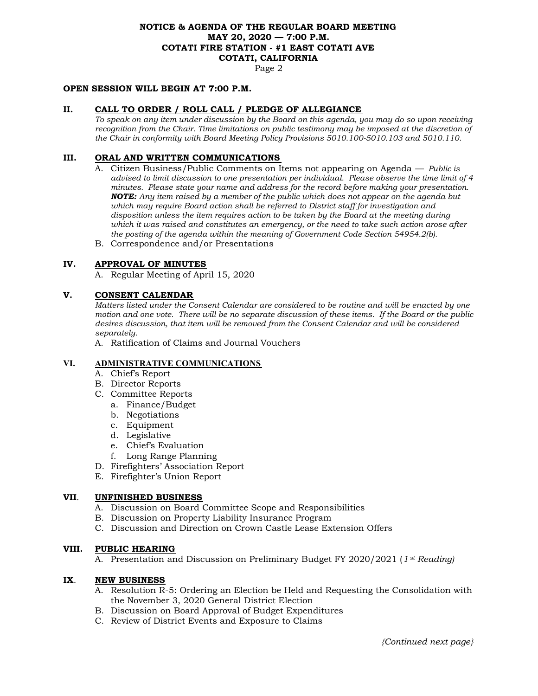# **NOTICE & AGENDA OF THE REGULAR BOARD MEETING MAY 20, 2020 — 7:00 P.M. COTATI FIRE STATION - #1 EAST COTATI AVE COTATI, CALIFORNIA**

Page 2

## **OPEN SESSION WILL BEGIN AT 7:00 P.M.**

#### **II. CALL TO ORDER / ROLL CALL / PLEDGE OF ALLEGIANCE**

*To speak on any item under discussion by the Board on this agenda, you may do so upon receiving recognition from the Chair. Time limitations on public testimony may be imposed at the discretion of the Chair in conformity with Board Meeting Policy Provisions 5010.100-5010.103 and 5010.110.* 

## **III. ORAL AND WRITTEN COMMUNICATIONS**

- A. Citizen Business/Public Comments on Items not appearing on Agenda *Public is advised to limit discussion to one presentation per individual. Please observe the time limit of 4 minutes. Please state your name and address for the record before making your presentation. NOTE: Any item raised by a member of the public which does not appear on the agenda but which may require Board action shall be referred to District staff for investigation and disposition unless the item requires action to be taken by the Board at the meeting during which it was raised and constitutes an emergency, or the need to take such action arose after the posting of the agenda within the meaning of Government Code Section 54954.2(b).*
- B. Correspondence and/or Presentations

## **IV. APPROVAL OF MINUTES**

A. Regular Meeting of April 15, 2020

## **V. CONSENT CALENDAR**

*Matters listed under the Consent Calendar are considered to be routine and will be enacted by one motion and one vote. There will be no separate discussion of these items. If the Board or the public desires discussion, that item will be removed from the Consent Calendar and will be considered separately.* 

A. Ratification of Claims and Journal Vouchers

## **VI. ADMINISTRATIVE COMMUNICATIONS**

- A. Chief's Report
- B. Director Reports
- C. Committee Reports
	- a. Finance/Budget
	- b. Negotiations
	- c. Equipment
	- d. Legislative
	- e. Chief's Evaluation
	- f. Long Range Planning
- D. Firefighters' Association Report
- E. Firefighter's Union Report

#### **VII**. **UNFINISHED BUSINESS**

- A. Discussion on Board Committee Scope and Responsibilities
- B. Discussion on Property Liability Insurance Program
- C. Discussion and Direction on Crown Castle Lease Extension Offers

#### **VIII. PUBLIC HEARING**

A. Presentation and Discussion on Preliminary Budget FY 2020/2021 (*1 st Reading)*

### **IX**. **NEW BUSINESS**

- A. Resolution R-5: Ordering an Election be Held and Requesting the Consolidation with the November 3, 2020 General District Election
- B. Discussion on Board Approval of Budget Expenditures
- C. Review of District Events and Exposure to Claims